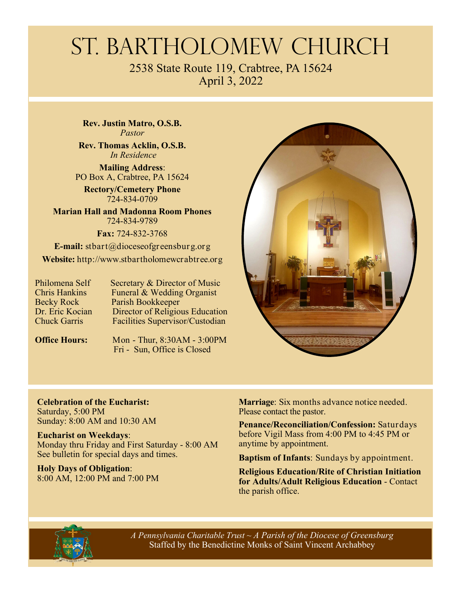# St. Bartholomew Church

2538 State Route 119, Crabtree, PA 15624 April 3, 2022

**Rev. Justin Matro, O.S.B.**  *Pastor* 

**Rev. Thomas Acklin, O.S.B.**   *In Residence* 

**Mailing Address**: PO Box A, Crabtree, PA 15624

**Rectory/Cemetery Phone**  724-834-0709

**Marian Hall and Madonna Room Phones**  724-834-9789

**Fax:** 724-832-3768

**E-mail:** stbart@dioceseofgreensburg.org **Website:** http://www.stbartholomewcrabtree.org

Philomena Self Secretary & Director of Music<br>Chris Hankins Funeral & Wedding Organist Funeral & Wedding Organist Becky Rock Parish Bookkeeper<br>Dr. Eric Kocian Director of Religion Dr. Eric Kocian Director of Religious Education<br>Chuck Garris Facilities Supervisor/Custodian Facilities Supervisor/Custodian

**Office Hours:** Mon - Thur, 8:30AM - 3:00PM Fri - Sun, Office is Closed



**Celebration of the Eucharist:**  Saturday, 5:00 PM Sunday: 8:00 AM and 10:30 AM

**Eucharist on Weekdays**: Monday thru Friday and First Saturday - 8:00 AM See bulletin for special days and times.

**Holy Days of Obligation**: 8:00 AM, 12:00 PM and 7:00 PM **Marriage**: Six months advance notice needed. Please contact the pastor.

**Penance/Reconciliation/Confession:** Saturdays before Vigil Mass from 4:00 PM to 4:45 PM or anytime by appointment.

**Baptism of Infants**: Sundays by appointment.

**Religious Education/Rite of Christian Initiation for Adults/Adult Religious Education** - Contact the parish office.



 *A Pennsylvania Charitable Trust ~ A Parish of the Diocese of Greensburg*  Staffed by the Benedictine Monks of Saint Vincent Archabbey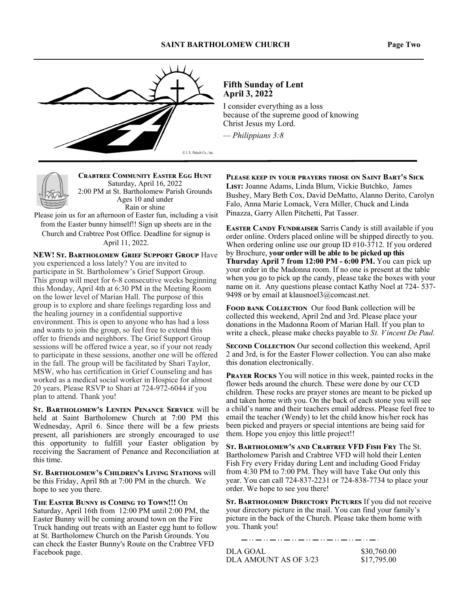#### **SAINT BARTHOLOMEW CHURCH Page Two**



#### **Fifth Sunday of Lent April 3, 2022**

I consider everything as a loss because of the supreme good of knowing Christ Jesus my Lord.

*— Philippians 3:8*



**CRABTREE COMMUNITY EASTER EGG HUNT** Saturday, April 16, 2022 2:00 PM at St. Bartholomew Parish Grounds Ages 10 and under Rain or shine

Please join us for an afternoon of Easter fun, including a visit from the Easter bunny himself!! Sign up sheets are in the Church and Crabtree Post Office. Deadline for signup is April 11, 2022.

**NEW! ST. BARTHOLOMEW GRIEF SUPPORT GROUP Have** you experienced a loss lately? You are invited to participate in St. Bartholomew's Grief Support Group. This group will meet for 6-8 consecutive weeks beginning this Monday, April 4th at 6:30 PM in the Meeting Room on the lower level of Marian Hall. The purpose of this group is to explore and share feelings regarding loss and the healing journey in a confidential supportive environment. This is open to anyone who has had a loss and wants to join the group, so feel free to extend this offer to friends and neighbors. The Grief Support Group sessions will be offered twice a year, so if your not ready to participate in these sessions, another one will be offered in the fall. The group will be facilitated by Shari Taylor, MSW, who has certification in Grief Counseling and has worked as a medical social worker in Hospice for almost 20 years. Please RSVP to Shari at 724-972-6044 if you plan to attend. Thank you!

ST. BARTHOLOMEW'S LENTEN PENANCE SERVICE will be held at Saint Bartholomew Church at 7:00 PM this Wednesday, April 6. Since there will be a few priests present, all parishioners are strongly encouraged to use this opportunity to fulfill your Easter obligation by receiving the Sacrament of Penance and Reconciliation at this time.

ST. BARTHOLOMEW'S CHILDREN'S LIVING STATIONS will be this Friday, April 8th at 7:00 PM in the church. We hope to see you there.

**THE EASTER BUNNY IS COMING TO TOWN!!!** On Saturday, April 16th from 12:00 PM until 2:00 PM, the Easter Bunny will be coming around town on the Fire Truck handing out treats with an Easter egg hunt to follow at St. Bartholomew Church on the Parish Grounds. You can check the Easter Bunny's Route on the Crabtree VFD Facebook page.

PLEASE KEEP IN YOUR PRAYERS THOSE ON SAINT BART'S SICK LIST: Joanne Adams, Linda Blum, Vickie Butchko, James Bushey, Mary Beth Cox, David DeMatto, Alanno Derito, Carolyn

Falo, Anna Marie Lomack, Vera Miller, Chuck and Linda Pinazza, Garry Allen Pitchetti, Pat Tasser. **EASTER CANDY FUNDRAISER** Sarris Candy is still available if you order online. Orders placed online will be shipped directly to you. When ordering online use our group ID #10-3712. If you ordered by Brochure, **your order will be able to be picked up this** 

**Thursday April 7 from 12:00 PM - 6:00 PM.** You can pick up your order in the Madonna room. If no one is present at the table when you go to pick up the candy, please take the boxes with your name on it. Any questions please contact Kathy Noel at 724- 537- 9498 or by email at klausnoel $3$ @comcast.net.

FOOD BANK COLLECTION Our food Bank collection will be collected this weekend, April 2nd and 3rd. Please place your donations in the Madonna Room of Marian Hall. If you plan to write a check, please make checks payable to *St. Vincent De Paul.* 

**SECOND COLLECTION** Our second collection this weekend, April 2 and 3rd, is for the Easter Flower collection. You can also make this donation electronically.

**PRAYER ROCKS** You will notice in this week, painted rocks in the flower beds around the church. These were done by our CCD children. These rocks are prayer stones are meant to be picked up and taken home with you. On the back of each stone you will see a child's name and their teachers email address. Please feel free to email the teacher (Wendy) to let the child know his/her rock has been picked and prayers or special intentions are being said for them. Hope you enjoy this little project!!

ST. BARTHOLOMEW'S AND CRABTREE VFD FISH FRY The St. Bartholomew Parish and Crabtree VFD will hold their Lenten Fish Fry every Friday during Lent and including Good Friday from 4:30 PM to 7:00 PM. They will have Take Out only this year. You can call 724-837-2231 or 724-838-7734 to place your order. We hope to see you there!

ST. BARTHOLOMEW DIRECTORY PICTURES If you did not receive your directory picture in the mail. You can find your family's picture in the back of the Church. Please take them home with you. Thank you!

DLA GOAL \$30,760.00 DLA AMOUNT AS OF 3/23 \$17,795.00

والمستوار والسواري لسواري ستواري ستواريات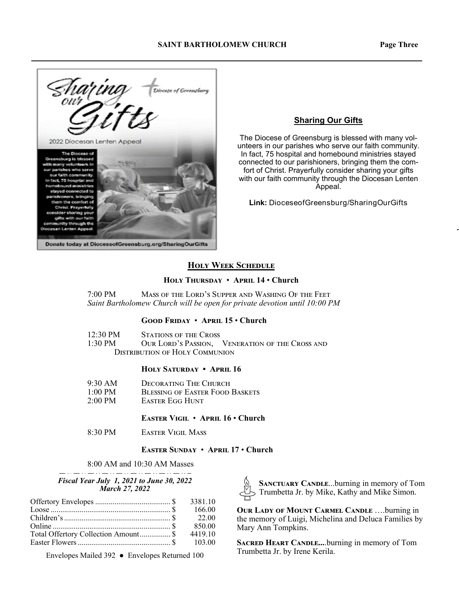

#### **Sharing Our Gifts**

The Diocese of Greensburg is blessed with many volunteers in our parishes who serve our faith community. In fact, 75 hospital and homebound ministries stayed connected to our parishioners, bringing them the comfort of Christ. Prayerfully consider sharing your gifts with our faith community through the Diocesan Lenten Appeal.

**Link:** DioceseofGreensburg/SharingOurGifts

#### **HOLY WEEK SCHEDULE**

#### $HOLY$  THURSDAY • APRIL 14 • Church

7:00 PM MASS OF THE LORD'S SUPPER AND WASHING OF THE FEET *Saint Bartholomew Church will be open for private devotion until 10:00 PM* 

#### $G$ OOD FRIDAY • APRIL 15 • Church

| $12:30 \text{ PM}$ | <b>STATIONS OF THE CROSS</b>          |                                                 |
|--------------------|---------------------------------------|-------------------------------------------------|
| 1:30 PM            |                                       | OUR LORD'S PASSION, VENERATION OF THE CROSS AND |
|                    | <b>DISTRIBUTION OF HOLY COMMUNION</b> |                                                 |

#### **HOLY SATURDAY • APRIL 16**

| $9:30 \text{ AM}$ | DECORATING THE CHURCH                  |
|-------------------|----------------------------------------|
| $1:00 \text{ PM}$ | <b>BLESSING OF EASTER FOOD BASKETS</b> |
| $2:00 \text{ PM}$ | Easter Egg Hunt                        |

#### **EASTER VIGIL • APRIL 16 • Church**

8:30 PM EASTER VIGIL MASS

#### **EASTER SUNDAY • APRIL 17 • Church**

8:00 AM and 10:30 AM Masses

#### *Fiscal Year July 1, 2021 to June 30, 2022 March 27, 2022*

| Loose $\ldots$ $\ldots$ $\ldots$ $\ldots$ $\ldots$ $\ldots$ $\ldots$ $\ldots$ $\ldots$ $\ldots$ $\ldots$ $\ldots$ | 166.00  |
|-------------------------------------------------------------------------------------------------------------------|---------|
|                                                                                                                   | - 22.00 |
|                                                                                                                   | 850.00  |
| Total Offertory Collection Amount \$                                                                              | 4419.10 |
|                                                                                                                   | 103.00  |

Envelopes Mailed 392 ● Envelopes Returned 100

SANCTUARY CANDLE...burning in memory of Tom Trumbetta Jr. by Mike, Kathy and Mike Simon.

**OUR LADY OF MOUNT CARMEL CANDLE ....burning in** the memory of Luigi, Michelina and Deluca Families by Mary Ann Tompkins.

**SACRED HEART CANDLE....burning in memory of Tom** Trumbetta Jr. by Irene Kerila.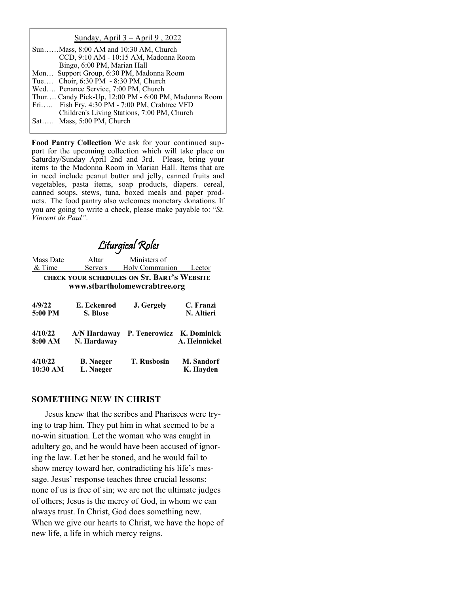#### Sunday, April 3 – April 9 , 2022

| SunMass, 8:00 AM and 10:30 AM, Church                |
|------------------------------------------------------|
| CCD, 9:10 AM - 10:15 AM, Madonna Room                |
| Bingo, 6:00 PM, Marian Hall                          |
| Mon Support Group, 6:30 PM, Madonna Room             |
| Tue Choir, 6:30 PM - 8:30 PM, Church                 |
| Wed Penance Service, 7:00 PM, Church                 |
| Thur Candy Pick-Up, 12:00 PM - 6:00 PM, Madonna Room |
| Fri Fish Fry, 4:30 PM - 7:00 PM, Crabtree VFD        |
| Children's Living Stations, 7:00 PM, Church          |
| Sat Mass, 5:00 PM, Church                            |

**Food Pantry Collection** We ask for your continued support for the upcoming collection which will take place on Saturday/Sunday April 2nd and 3rd. Please, bring your items to the Madonna Room in Marian Hall. Items that are in need include peanut butter and jelly, canned fruits and vegetables, pasta items, soap products, diapers. cereal, canned soups, stews, tuna, boxed meals and paper products. The food pantry also welcomes monetary donations. If you are going to write a check, please make payable to: "*St. Vincent de Paul".* 

## Liturgical Roles

| Mass Date         | Altar                   | Ministers of                                                                |                         |
|-------------------|-------------------------|-----------------------------------------------------------------------------|-------------------------|
| & Time            | Servers                 | Holy Communion                                                              | Lector                  |
|                   |                         | CHECK YOUR SCHEDULES ON ST. BART'S WEBSITE<br>www.stbartholomewcrabtree.org |                         |
| 4/9/22<br>5:00 PM | E. Eckenrod<br>S. Blose | J. Gergely                                                                  | C. Franzi<br>N. Altieri |

| 4/10/22<br>8:00 AM | A/N Hardaway<br>N. Hardaway | P. Tenerowicz K. Dominick | A. Heinnickel     |
|--------------------|-----------------------------|---------------------------|-------------------|
| 4/10/22            | <b>B.</b> Naeger            | <b>T. Rusbosin</b>        | <b>M.</b> Sandorf |
| 10:30 AM           | L. Naeger                   |                           | K. Hayden         |

#### **SOMETHING NEW IN CHRIST**

Jesus knew that the scribes and Pharisees were trying to trap him. They put him in what seemed to be a no-win situation. Let the woman who was caught in adultery go, and he would have been accused of ignoring the law. Let her be stoned, and he would fail to show mercy toward her, contradicting his life's message. Jesus' response teaches three crucial lessons: none of us is free of sin; we are not the ultimate judges of others; Jesus is the mercy of God, in whom we can always trust. In Christ, God does something new. When we give our hearts to Christ, we have the hope of new life, a life in which mercy reigns.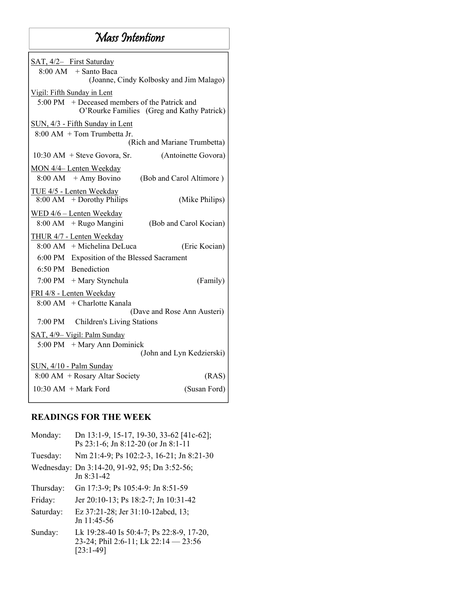### Mass Intentions

| SAT, 4/2- First Saturday                                                                    |                              |
|---------------------------------------------------------------------------------------------|------------------------------|
| $8:00$ AM $+$ Santo Baca                                                                    |                              |
| (Joanne, Cindy Kolbosky and Jim Malago)                                                     |                              |
|                                                                                             |                              |
| Vigil: Fifth Sunday in Lent                                                                 |                              |
| 5:00 PM + Deceased members of the Patrick and<br>O'Rourke Families (Greg and Kathy Patrick) |                              |
|                                                                                             |                              |
| SUN, 4/3 - Fifth Sunday in Lent                                                             |                              |
| $8:00$ AM $+$ Tom Trumbetta Jr.                                                             |                              |
|                                                                                             | (Rich and Mariane Trumbetta) |
| $10:30$ AM $+$ Steve Govora, Sr.                                                            | (Antoinette Govora)          |
| MON 4/4- Lenten Weekday                                                                     |                              |
| $8:00$ AM $+$ Amy Bovino                                                                    | (Bob and Carol Altimore)     |
|                                                                                             |                              |
| TUE 4/5 - Lenten Weekday                                                                    |                              |
| $8:00$ AM + Dorothy Philips                                                                 | (Mike Philips)               |
| WED 4/6 - Lenten Weekday                                                                    |                              |
| 8:00 AM + Rugo Mangini                                                                      | (Bob and Carol Kocian)       |
| THUR 4/7 - Lenten Weekday                                                                   |                              |
| 8:00 AM + Michelina DeLuca                                                                  | (Eric Kocian)                |
| 6:00 PM Exposition of the Blessed Sacrament                                                 |                              |
|                                                                                             |                              |
| 6:50 PM Benediction                                                                         |                              |
| $7:00 \text{ PM} + \text{Mary Stynchula}$                                                   | (Family)                     |
| FRI 4/8 - Lenten Weekday                                                                    |                              |
| $8:00$ AM $+$ Charlotte Kanala                                                              |                              |
|                                                                                             | (Dave and Rose Ann Austeri)  |
| 7:00 PM<br>Children's Living Stations                                                       |                              |
| SAT, 4/9- Vigil: Palm Sunday                                                                |                              |
| 5:00 PM + Mary Ann Dominick                                                                 |                              |
|                                                                                             | (John and Lyn Kedzierski)    |
|                                                                                             |                              |
| SUN, 4/10 - Palm Sunday                                                                     |                              |
| 8:00 AM + Rosary Altar Society                                                              | (RAS)                        |
| $10:30$ AM $+$ Mark Ford                                                                    | (Susan Ford)                 |
|                                                                                             |                              |

### **READINGS FOR THE WEEK**

| Monday:   | Dn 13:1-9, 15-17, 19-30, 33-62 [41c-62];<br>Ps 23:1-6; Jn 8:12-20 (or Jn 8:1-11                 |
|-----------|-------------------------------------------------------------------------------------------------|
| Tuesday:  | Nm 21:4-9; Ps 102:2-3, 16-21; Jn 8:21-30                                                        |
|           | Wednesday: Dn 3:14-20, 91-92, 95; Dn 3:52-56;<br>$Jn$ 8:31-42                                   |
| Thursday: | Gn 17:3-9; Ps 105:4-9: Jn 8:51-59                                                               |
| Friday:   | Jer 20:10-13; Ps 18:2-7; Jn 10:31-42                                                            |
| Saturday: | Ez 37:21-28; Jer 31:10-12abcd, 13;<br>Jn 11:45-56                                               |
| Sunday:   | Lk 19:28-40 Is 50:4-7; Ps 22:8-9, 17-20,<br>23-24; Phil 2:6-11; Lk 22:14 - 23:56<br>$[23:1-49]$ |